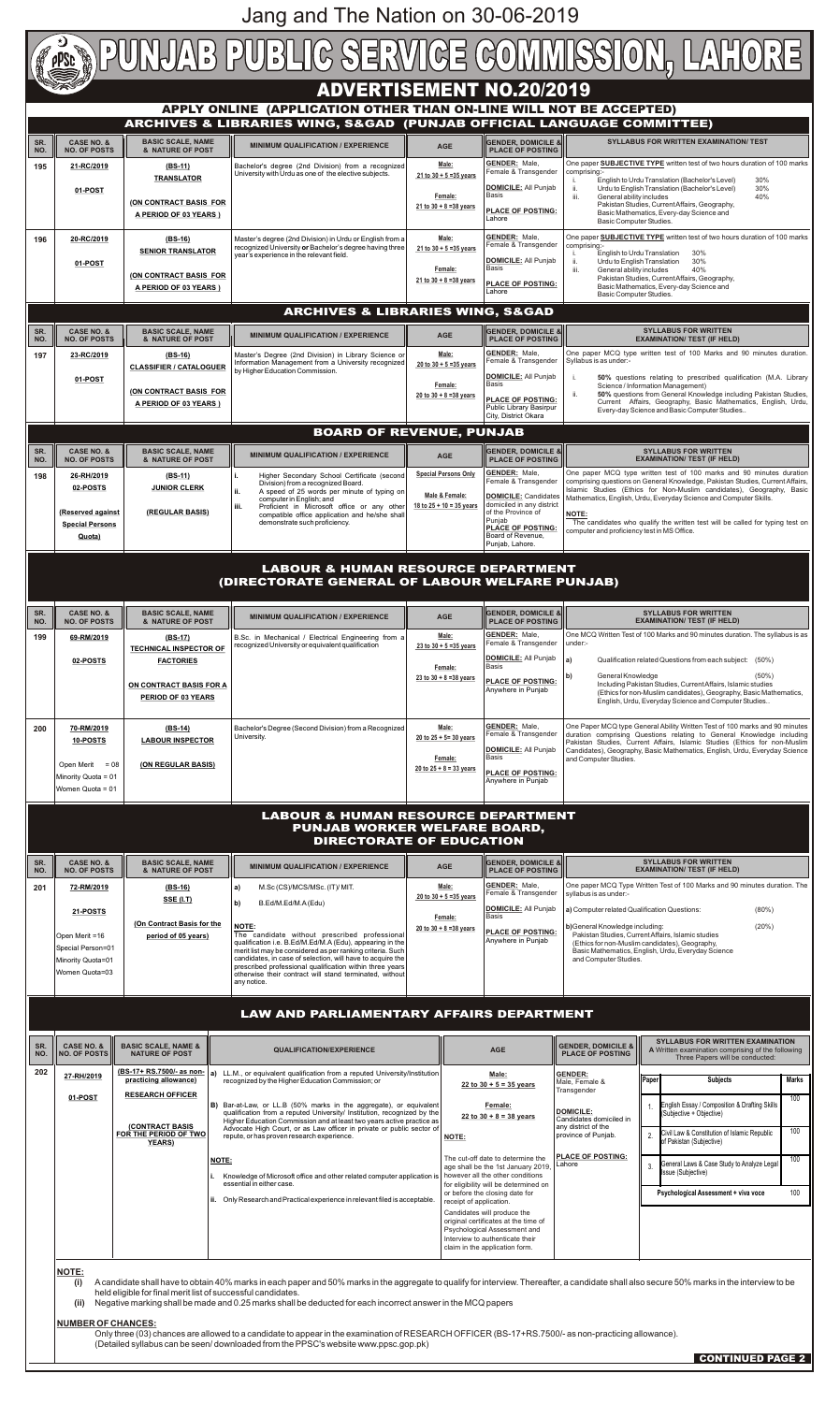|                                                                                                                                                                                | $\star$ )                                                                                                                                                                                                                                                                                                                                                                                                                                                                                                                                                                                                                                                                                                      |                                                                                                                                                                                                                                                                                                                                                                                                                                                                          | PUNJAB PUBLIC SERVICE COMMISSION, LAHORE                                                                                                                                                                                                                                                                                                                                                                                                                                                                                                                                                                                                                                                 |                                                                            |                                                                                                                                                                                                                                                                                                                                                                                                                                                                                      |                                                                                                                                                                                                                                                                                                                                  |                                                                                                                                                                                    |                                                                                                                                                                                                                                                                                                                                                                                                                                                          |
|--------------------------------------------------------------------------------------------------------------------------------------------------------------------------------|----------------------------------------------------------------------------------------------------------------------------------------------------------------------------------------------------------------------------------------------------------------------------------------------------------------------------------------------------------------------------------------------------------------------------------------------------------------------------------------------------------------------------------------------------------------------------------------------------------------------------------------------------------------------------------------------------------------|--------------------------------------------------------------------------------------------------------------------------------------------------------------------------------------------------------------------------------------------------------------------------------------------------------------------------------------------------------------------------------------------------------------------------------------------------------------------------|------------------------------------------------------------------------------------------------------------------------------------------------------------------------------------------------------------------------------------------------------------------------------------------------------------------------------------------------------------------------------------------------------------------------------------------------------------------------------------------------------------------------------------------------------------------------------------------------------------------------------------------------------------------------------------------|----------------------------------------------------------------------------|--------------------------------------------------------------------------------------------------------------------------------------------------------------------------------------------------------------------------------------------------------------------------------------------------------------------------------------------------------------------------------------------------------------------------------------------------------------------------------------|----------------------------------------------------------------------------------------------------------------------------------------------------------------------------------------------------------------------------------------------------------------------------------------------------------------------------------|------------------------------------------------------------------------------------------------------------------------------------------------------------------------------------|----------------------------------------------------------------------------------------------------------------------------------------------------------------------------------------------------------------------------------------------------------------------------------------------------------------------------------------------------------------------------------------------------------------------------------------------------------|
| <b>ADVERTISEMENT NO.20/2019</b><br>APPLY ONLINE (APPLICATION OTHER THAN ON-LINE WILL NOT BE ACCEPTED)<br>ARCHIVES & LIBRARIES WING, S&GAD (PUNJAB OFFICIAL LANGUAGE COMMITTEE) |                                                                                                                                                                                                                                                                                                                                                                                                                                                                                                                                                                                                                                                                                                                |                                                                                                                                                                                                                                                                                                                                                                                                                                                                          |                                                                                                                                                                                                                                                                                                                                                                                                                                                                                                                                                                                                                                                                                          |                                                                            |                                                                                                                                                                                                                                                                                                                                                                                                                                                                                      |                                                                                                                                                                                                                                                                                                                                  |                                                                                                                                                                                    |                                                                                                                                                                                                                                                                                                                                                                                                                                                          |
| SR.<br>NO.<br>195                                                                                                                                                              | <b>CASE NO. &amp;</b><br><b>NO. OF POSTS</b><br>21-RC/2019<br>01-POST                                                                                                                                                                                                                                                                                                                                                                                                                                                                                                                                                                                                                                          | <b>BASIC SCALE, NAME</b><br><b>MINIMUM QUALIFICATION / EXPERIENCE</b><br>& NATURE OF POST<br>$(BS-11)$<br>Bachelor's degree (2nd Division) from a recognized<br>University with Urdu as one of the elective subjects.<br><b>TRANSLATOR</b><br>(ON CONTRACT BASIS FOR<br>A PERIOD OF 03 YEARS )                                                                                                                                                                           |                                                                                                                                                                                                                                                                                                                                                                                                                                                                                                                                                                                                                                                                                          |                                                                            | <b>GENDER, DOMICILE &amp;</b><br><b>AGE</b><br><b>PLACE OF POSTING</b><br><b>GENDER: Male,</b><br>Male:<br>Female & Transgender<br>21 to $30 + 5 = 35$ years<br>DOMICILE: All Punjab<br>Basis<br>Female:<br>21 to $30 + 8 = 38$ years<br><b>PLACE OF POSTING:</b><br>Lahore                                                                                                                                                                                                          |                                                                                                                                                                                                                                                                                                                                  | comprising:-<br>ii.<br>iii.<br>General ability includes<br>Basic Computer Studies.                                                                                                 | <b>SYLLABUS FOR WRITTEN EXAMINATION/ TEST</b><br>One paper <b>SUBJECTIVE TYPE</b> written test of two hours duration of 100 marks<br>English to Urdu Translation (Bachelor's Level)<br>30%<br>30%<br>Urdu to English Translation (Bachelor's Level)<br>40%<br>Pakistan Studies, Current Affairs, Geography,<br>Basic Mathematics, Every-day Science and                                                                                                  |
| 196                                                                                                                                                                            | 20-RC/2019<br>01-POST                                                                                                                                                                                                                                                                                                                                                                                                                                                                                                                                                                                                                                                                                          | $(BS-16)$<br><b>SENIOR TRANSLATOR</b><br>(ON CONTRACT BASIS FOR<br>A PERIOD OF 03 YEARS)                                                                                                                                                                                                                                                                                                                                                                                 | Master's degree (2nd Division) in Urdu or English from a<br>recognized University or Bachelor's degree having three<br>year's experience in the relevant field.                                                                                                                                                                                                                                                                                                                                                                                                                                                                                                                          |                                                                            | Male:<br>21 to $30 + 5 = 35$ years<br>Female:<br>21 to $30 + 8 = 38$ years                                                                                                                                                                                                                                                                                                                                                                                                           | <b>GENDER: Male,</b><br>Female & Transgender<br>DOMICILE: All Punjab<br>Basis<br><b>PLACE OF POSTING:</b><br>Lahore                                                                                                                                                                                                              | comprising:-<br>ii.<br>iii.<br>General ability includes<br>Basic Computer Studies.                                                                                                 | One paper <b>SUBJECTIVE TYPE</b> written test of two hours duration of 100 marks<br>30%<br>English to Urdu Translation<br>30%<br>Urdu to English Translation<br>40%<br>Pakistan Studies, Current Affairs, Geography,<br>Basic Mathematics, Every-day Science and                                                                                                                                                                                         |
| SR.<br>NO.<br>197                                                                                                                                                              | <b>CASE NO. &amp;</b><br><b>NO. OF POSTS</b><br>23-RC/2019<br>01-POST                                                                                                                                                                                                                                                                                                                                                                                                                                                                                                                                                                                                                                          | <b>BASIC SCALE, NAME</b><br>& NATURE OF POST<br>$(BS-16)$<br><b>CLASSIFIER / CATALOGUER</b><br>(ON CONTRACT BASIS FOR<br>A PERIOD OF 03 YEARS )                                                                                                                                                                                                                                                                                                                          | <b>ARCHIVES &amp; LIBRARIES WING, S&amp;GAD</b><br><b>MINIMUM QUALIFICATION / EXPERIENCE</b><br>Master's Degree (2nd Division) in Library Science or<br>Information Management from a University recognized<br>by Higher Education Commission.                                                                                                                                                                                                                                                                                                                                                                                                                                           | <b>AGE</b><br>20 to $30 + 8 = 38$ years                                    | Male:<br>20 to $30 + 5 = 35$ years<br>Female:                                                                                                                                                                                                                                                                                                                                                                                                                                        | $\left\ $ GENDER, DOMICILE & $\right\ $<br><b>PLACE OF POSTING</b><br><b>GENDER: Male,</b><br>Female & Transgender<br>DOMICILE: All Punjab<br>Basis<br><b>PLACE OF POSTING:</b><br>Public Library Basirpur<br>City, District Okara                                                                                               | Syllabus is as under:-<br>ii.                                                                                                                                                      | <b>SYLLABUS FOR WRITTEN</b><br><b>EXAMINATION/ TEST (IF HELD)</b><br>One paper MCQ type written test of 100 Marks and 90 minutes duration.<br>50% questions relating to prescribed qualification (M.A. Library<br>Science / Information Management)<br>50% questions from General Knowledge including Pakistan Studies,<br>Current Affairs, Geography, Basic Mathematics, English, Urdu,<br>Every-day Science and Basic Computer Studies                 |
|                                                                                                                                                                                |                                                                                                                                                                                                                                                                                                                                                                                                                                                                                                                                                                                                                                                                                                                |                                                                                                                                                                                                                                                                                                                                                                                                                                                                          | <b>BOARD OF REVENUE, PUNJAB</b>                                                                                                                                                                                                                                                                                                                                                                                                                                                                                                                                                                                                                                                          |                                                                            |                                                                                                                                                                                                                                                                                                                                                                                                                                                                                      |                                                                                                                                                                                                                                                                                                                                  |                                                                                                                                                                                    |                                                                                                                                                                                                                                                                                                                                                                                                                                                          |
| SR.<br>NO.<br>198                                                                                                                                                              | <b>CASE NO. &amp;</b><br><b>NO. OF POSTS</b><br>26-RH/2019<br>02-POSTS<br>(Reserved against<br><b>Special Persons</b><br>Quota)                                                                                                                                                                                                                                                                                                                                                                                                                                                                                                                                                                                | <b>BASIC SCALE, NAME</b><br><b>MINIMUM QUALIFICATION / EXPERIENCE</b><br>& NATURE OF POST<br>li.<br>$(BS-11)$<br>Higher Secondary School Certificate (second<br>Division) from a recognized Board.<br><b>JUNIOR CLERK</b><br>ii.<br>A speed of 25 words per minute of typing on<br>computer in English; and<br>Proficient in Microsoft office or any other<br>iii.<br>(REGULAR BASIS)<br>compatible office application and he/she shall<br>demonstrate such proficiency. |                                                                                                                                                                                                                                                                                                                                                                                                                                                                                                                                                                                                                                                                                          | <b>AGE</b><br>Male & Female:                                               | <b>Special Persons Only</b><br>18 to $25 + 10 = 35$ years                                                                                                                                                                                                                                                                                                                                                                                                                            | <b>GENDER, DOMICILE &amp;</b><br><b>PLACE OF POSTING</b><br><b>GENDER: Male,</b><br>Female & Transgender<br><b>DOMICILE: Candidates</b><br>domiciled in any district<br>of the Province of<br>NOTE:<br>Puniab<br><b>PLACE OF POSTING:</b><br>computer and proficiency test in MS Office.<br>Board of Revenue,<br>Punjab, Lahore. |                                                                                                                                                                                    | <b>SYLLABUS FOR WRITTEN</b><br><b>EXAMINATION/ TEST (IF HELD)</b><br>One paper MCQ type written test of 100 marks and 90 minutes duration<br>comprising questions on General Knowledge, Pakistan Studies, Current Affairs,<br>Islamic Studies (Ethics for Non-Muslim candidates), Geography, Basic<br>Mathematics, English, Urdu, Everyday Science and Computer Skills.<br>The candidates who qualify the written test will be called for typing test on |
| <b>LABOUR &amp; HUMAN RESOURCE DEPARTMENT</b><br>(DIRECTORATE GENERAL OF LABOUR WELFARE PUNJAB)                                                                                |                                                                                                                                                                                                                                                                                                                                                                                                                                                                                                                                                                                                                                                                                                                |                                                                                                                                                                                                                                                                                                                                                                                                                                                                          |                                                                                                                                                                                                                                                                                                                                                                                                                                                                                                                                                                                                                                                                                          |                                                                            |                                                                                                                                                                                                                                                                                                                                                                                                                                                                                      |                                                                                                                                                                                                                                                                                                                                  |                                                                                                                                                                                    |                                                                                                                                                                                                                                                                                                                                                                                                                                                          |
| SR.<br>NO.                                                                                                                                                                     | <b>CASE NO. &amp;</b><br><b>NO. OF POSTS</b>                                                                                                                                                                                                                                                                                                                                                                                                                                                                                                                                                                                                                                                                   | <b>BASIC SCALE, NAME</b><br>& NATURE OF POST                                                                                                                                                                                                                                                                                                                                                                                                                             | <b>MINIMUM QUALIFICATION / EXPERIENCE</b>                                                                                                                                                                                                                                                                                                                                                                                                                                                                                                                                                                                                                                                | <b>AGE</b>                                                                 |                                                                                                                                                                                                                                                                                                                                                                                                                                                                                      | <b>GENDER, DOMICILE &amp;</b><br><b>PLACE OF POSTING</b><br><b>GENDER: Male,</b>                                                                                                                                                                                                                                                 |                                                                                                                                                                                    | <b>SYLLABUS FOR WRITTEN</b><br><b>EXAMINATION/ TEST (IF HELD)</b><br>One MCQ Written Test of 100 Marks and 90 minutes duration. The syllabus is as                                                                                                                                                                                                                                                                                                       |
| 199                                                                                                                                                                            | 69-RM/2019<br>02-POSTS                                                                                                                                                                                                                                                                                                                                                                                                                                                                                                                                                                                                                                                                                         | B.Sc. in Mechanical / Electrical Engineering from a<br>$(BS-17)$<br>recognized University or equivalent qualification<br><b>TECHNICAL INSPECTOR OF</b><br><b>FACTORIES</b><br>ON CONTRACT BASIS FOR A<br>PERIOD OF 03 YEARS                                                                                                                                                                                                                                              |                                                                                                                                                                                                                                                                                                                                                                                                                                                                                                                                                                                                                                                                                          | Male:<br>23 to $30 + 5 = 35$ years<br>Female:<br>23 to $30 + 8 = 38$ years |                                                                                                                                                                                                                                                                                                                                                                                                                                                                                      | Female & Transgender<br><b>DOMICILE:</b> All Punjab<br>Basis<br><b>PLACE OF POSTING:</b><br>Anywhere in Punjab                                                                                                                                                                                                                   | under:-<br>a)<br>General Knowledge                                                                                                                                                 | Qualification related Questions from each subject: (50%)<br>$(50\%)$<br>Including Pakistan Studies, Current Affairs, Islamic studies<br>(Ethics for non-Muslim candidates), Geography, Basic Mathematics,<br>English, Urdu, Everyday Science and Computer Studies                                                                                                                                                                                        |
| 200                                                                                                                                                                            | 70-RM/2019<br>10-POSTS<br>Open Merit<br>$= 08$<br>Minority Quota = 01<br>Women Quota = 01                                                                                                                                                                                                                                                                                                                                                                                                                                                                                                                                                                                                                      | $(BS-14)$<br><b>LABOUR INSPECTOR</b><br>(ON REGULAR BASIS)                                                                                                                                                                                                                                                                                                                                                                                                               | Bachelor's Degree (Second Division) from a Recognized<br>University.                                                                                                                                                                                                                                                                                                                                                                                                                                                                                                                                                                                                                     |                                                                            | <b>GENDER: Male,</b><br>Male:<br>Female & Transgender<br>20 to $25 + 5 = 30$ years<br><b>DOMICILE: All Punjab</b><br>Basis<br>Female:<br>$20$ to $25 + 8 = 33$ years<br><b>PLACE OF POSTING:</b><br>Anywhere in Punjab                                                                                                                                                                                                                                                               |                                                                                                                                                                                                                                                                                                                                  | and Computer Studies.                                                                                                                                                              | One Paper MCQ type General Ability Written Test of 100 marks and 90 minutes<br>duration comprising Questions relating to General Knowledge including<br>Pakistan Studies, Current Affairs, Islamic Studies (Ethics for non-Muslim<br>Candidates), Geography, Basic Mathematics, English, Urdu, Everyday Science                                                                                                                                          |
| <b>LABOUR &amp; HUMAN RESOURCE DEPARTMENT</b><br><b>PUNJAB WORKER WELFARE BOARD,</b><br><b>DIRECTORATE OF EDUCATION</b>                                                        |                                                                                                                                                                                                                                                                                                                                                                                                                                                                                                                                                                                                                                                                                                                |                                                                                                                                                                                                                                                                                                                                                                                                                                                                          |                                                                                                                                                                                                                                                                                                                                                                                                                                                                                                                                                                                                                                                                                          |                                                                            |                                                                                                                                                                                                                                                                                                                                                                                                                                                                                      |                                                                                                                                                                                                                                                                                                                                  |                                                                                                                                                                                    |                                                                                                                                                                                                                                                                                                                                                                                                                                                          |
| SR.                                                                                                                                                                            | <b>CASE NO. &amp;</b>                                                                                                                                                                                                                                                                                                                                                                                                                                                                                                                                                                                                                                                                                          | <b>BASIC SCALE, NAME</b><br><b>MINIMUM QUALIFICATION / EXPERIENCE</b>                                                                                                                                                                                                                                                                                                                                                                                                    |                                                                                                                                                                                                                                                                                                                                                                                                                                                                                                                                                                                                                                                                                          | <b>AGE</b>                                                                 |                                                                                                                                                                                                                                                                                                                                                                                                                                                                                      | <b>GENDER, DOMICILE &amp;</b>                                                                                                                                                                                                                                                                                                    |                                                                                                                                                                                    | <b>SYLLABUS FOR WRITTEN</b>                                                                                                                                                                                                                                                                                                                                                                                                                              |
| NO.<br>201                                                                                                                                                                     | <b>NO. OF POSTS</b><br>72-RM/2019<br>21-POSTS<br>Open Merit =16<br>Special Person=01<br>Minority Quota=01<br>Women Quota=03                                                                                                                                                                                                                                                                                                                                                                                                                                                                                                                                                                                    | & NATURE OF POST<br>$(BS-16)$<br><b>SSE (I.T)</b><br>(On Contract Basis for the<br>period of 05 years)                                                                                                                                                                                                                                                                                                                                                                   | M.Sc (CS)/MCS/MSc. (IT)/ MIT.<br>a)<br>b)<br>B.Ed/M.Ed/M.A(Edu)<br>NOTE:<br>The candidate without prescribed professional<br>qualification i.e. B.Ed/M.Ed/M.A (Edu), appearing in the<br>merit list may be considered as per ranking criteria. Such<br>candidates, in case of selection, will have to acquire the<br>prescribed professional qualification within three years<br>otherwise their contract will stand terminated, without<br>any notice.                                                                                                                                                                                                                                  |                                                                            | <b>PLACE OF POSTING</b><br><b>GENDER: Male.</b><br>Male:<br>Female & Transgender<br>20 to $30 + 5 = 35$ years<br><b>DOMICILE:</b> All Punjab<br>Basis<br>Female:<br>$20 to 30 + 8 = 38$ years<br><b>PLACE OF POSTING:</b><br>Anywhere in Punjab                                                                                                                                                                                                                                      |                                                                                                                                                                                                                                                                                                                                  | syllabus is as under:-<br>a) Computer related Qualification Questions:<br>b) General Knowledge including:<br>and Computer Studies.                                                 | <b>EXAMINATION/ TEST (IF HELD)</b><br>One paper MCQ Type Written Test of 100 Marks and 90 minutes duration. The<br>$(80\%)$<br>(20%)<br>Pakistan Studies, Current Affairs, Islamic studies<br>(Ethics for non-Muslim candidates), Geography,<br>Basic Mathematics, English, Urdu, Everyday Science                                                                                                                                                       |
| <b>LAW AND PARLIAMENTARY AFFAIRS DEPARTMENT</b>                                                                                                                                |                                                                                                                                                                                                                                                                                                                                                                                                                                                                                                                                                                                                                                                                                                                |                                                                                                                                                                                                                                                                                                                                                                                                                                                                          |                                                                                                                                                                                                                                                                                                                                                                                                                                                                                                                                                                                                                                                                                          |                                                                            |                                                                                                                                                                                                                                                                                                                                                                                                                                                                                      |                                                                                                                                                                                                                                                                                                                                  |                                                                                                                                                                                    |                                                                                                                                                                                                                                                                                                                                                                                                                                                          |
| SR.<br>NO.                                                                                                                                                                     | <b>CASE NO. &amp;</b><br>NO. OF POSTS                                                                                                                                                                                                                                                                                                                                                                                                                                                                                                                                                                                                                                                                          | <b>BASIC SCALE, NAME &amp;</b><br><b>NATURE OF POST</b>                                                                                                                                                                                                                                                                                                                                                                                                                  | <b>QUALIFICATION/EXPERIENCE</b>                                                                                                                                                                                                                                                                                                                                                                                                                                                                                                                                                                                                                                                          |                                                                            |                                                                                                                                                                                                                                                                                                                                                                                                                                                                                      | <b>AGE</b>                                                                                                                                                                                                                                                                                                                       | <b>GENDER, DOMICILE &amp;</b><br><b>PLACE OF POSTING</b>                                                                                                                           | <b>SYLLABUS FOR WRITTEN EXAMINATION</b><br>A Written examination comprising of the following<br>Three Papers will be conducted:                                                                                                                                                                                                                                                                                                                          |
| 202                                                                                                                                                                            | 27-RH/2019<br>01-POST                                                                                                                                                                                                                                                                                                                                                                                                                                                                                                                                                                                                                                                                                          | (BS-17+ RS.7500/- as non-<br>practicing allowance)<br><b>RESEARCH OFFICER</b><br>(CONTRACT BASIS<br>FOR THE PERIOD OF TWO<br><b>YEARS)</b>                                                                                                                                                                                                                                                                                                                               | a) LL.M., or equivalent qualification from a reputed University/Institution<br>recognized by the Higher Education Commission; or<br>B) Bar-at-Law, or LL.B (50% marks in the aggregate), or equivalent<br>qualification from a reputed University/ Institution, recognized by the<br>Higher Education Commission and at least two years active practice as<br>Advocate High Court, or as Law officer in private or public sector of<br>repute, or has proven research experience.<br><b>NOTE:</b><br>Knowledge of Microsoft office and other related computer application is<br>essential in either case.<br>ii. Only Research and Practical experience in relevant filed is acceptable. |                                                                            | Male:<br>22 to $30 + 5 = 35$ years<br>Female:<br>$22 to 30 + 8 = 38$ years<br>NOTE:<br>The cut-off date to determine the<br>age shall be the 1st January 2019,<br>however all the other conditions<br>for eligibility will be determined on<br>or before the closing date for<br>receipt of application.<br>Candidates will produce the<br>original certificates at the time of<br>Psychological Assessment and<br>Interview to authenticate their<br>claim in the application form. |                                                                                                                                                                                                                                                                                                                                  | <b>GENDER:</b><br>Male, Female &<br>Transgender<br><b>DOMICILE:</b><br>Candidates domiciled in<br>any district of the<br>province of Punjab.<br><b>PLACE OF POSTING:</b><br>Lahore | <b>Subjects</b><br><b>Marks</b><br>Paper<br>100<br>English Essay / Composition & Drafting Skills<br>(Subjective + Objective)<br>100<br>Civil Law & Constitution of Islamic Republic<br>2.<br>of Pakistan (Subjective)<br>100<br>General Laws & Case Study to Analyze Legal<br>Issue (Subjective)<br>100<br><b>Psychological Assessment + viva voce</b>                                                                                                   |
|                                                                                                                                                                                | <b>NOTE:</b><br>A candidate shall have to obtain 40% marks in each paper and 50% marks in the aggregate to qualify for interview. Thereafter, a candidate shall also secure 50% marks in the interview to be<br>(i)<br>held eligible for final merit list of successful candidates.<br>Negative marking shall be made and 0.25 marks shall be deducted for each incorrect answer in the MCQ papers<br>(ii)<br><b>NUMBER OF CHANCES:</b><br>Only three (03) chances are allowed to a candidate to appear in the examination of RESEARCH OFFICER (BS-17+RS.7500/- as non-practicing allowance).<br>(Detailed syllabus can be seen/downloaded from the PPSC's website www.ppsc.gop.pk)<br><b>CONTINUED PAGE 2</b> |                                                                                                                                                                                                                                                                                                                                                                                                                                                                          |                                                                                                                                                                                                                                                                                                                                                                                                                                                                                                                                                                                                                                                                                          |                                                                            |                                                                                                                                                                                                                                                                                                                                                                                                                                                                                      |                                                                                                                                                                                                                                                                                                                                  |                                                                                                                                                                                    |                                                                                                                                                                                                                                                                                                                                                                                                                                                          |

Jang and The Nation on 30-06-2019